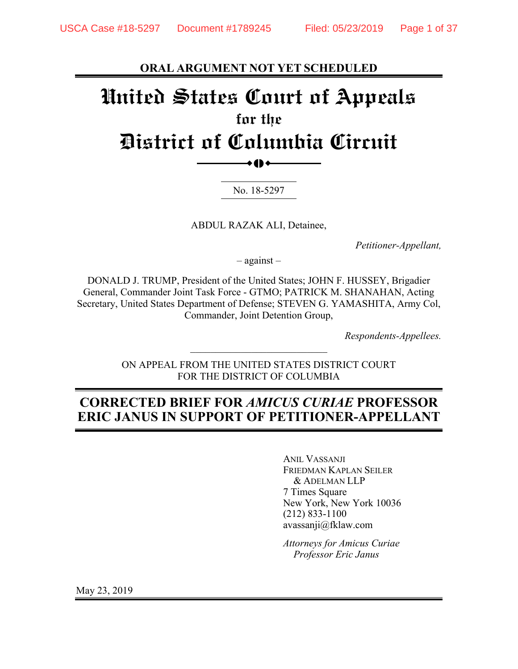**ORAL ARGUMENT NOT YET SCHEDULED**

# **United States Court of Appeals for the District of Columbia Circuit**   $\bullet$  ()  $\bullet$

No. 18-5297

ABDUL RAZAK ALI, Detainee,

*Petitioner-Appellant,* 

– against –

DONALD J. TRUMP, President of the United States; JOHN F. HUSSEY, Brigadier General, Commander Joint Task Force - GTMO; PATRICK M. SHANAHAN, Acting Secretary, United States Department of Defense; STEVEN G. YAMASHITA, Army Col, Commander, Joint Detention Group,

*Respondents-Appellees.* 

ON APPEAL FROM THE UNITED STATES DISTRICT COURT FOR THE DISTRICT OF COLUMBIA

 $\mathcal{L}_\text{max}$ 

## **CORRECTED BRIEF FOR** *AMICUS CURIAE* **PROFESSOR ERIC JANUS IN SUPPORT OF PETITIONER-APPELLANT**

 ANIL VASSANJI FRIEDMAN KAPLAN SEILER & ADELMAN LLP 7 Times Square New York, New York 10036 (212) 833-1100 avassanji@fklaw.com

*Attorneys for Amicus Curiae Professor Eric Janus* 

May 23, 2019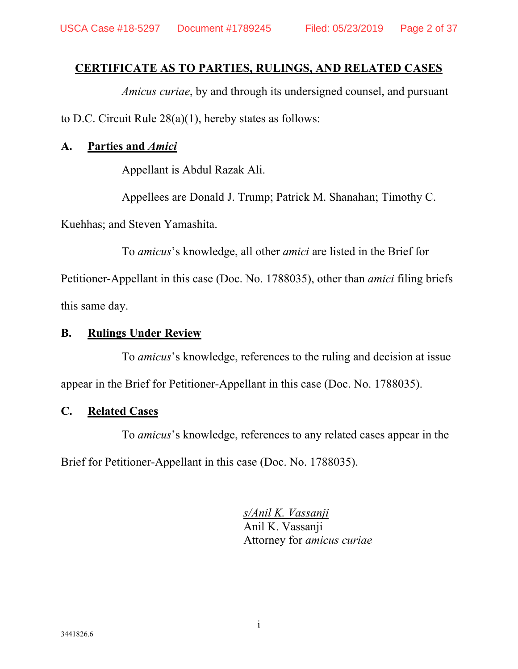## **CERTIFICATE AS TO PARTIES, RULINGS, AND RELATED CASES**

*Amicus curiae*, by and through its undersigned counsel, and pursuant to D.C. Circuit Rule 28(a)(1), hereby states as follows:

### **A. Parties and** *Amici*

Appellant is Abdul Razak Ali.

Appellees are Donald J. Trump; Patrick M. Shanahan; Timothy C.

Kuehhas; and Steven Yamashita.

To *amicus*'s knowledge, all other *amici* are listed in the Brief for

Petitioner-Appellant in this case (Doc. No. 1788035), other than *amici* filing briefs this same day.

### **B. Rulings Under Review**

To *amicus*'s knowledge, references to the ruling and decision at issue appear in the Brief for Petitioner-Appellant in this case (Doc. No. 1788035).

### **C. Related Cases**

To *amicus*'s knowledge, references to any related cases appear in the Brief for Petitioner-Appellant in this case (Doc. No. 1788035).

> *s/Anil K. Vassanji* Anil K. Vassanji Attorney for *amicus curiae*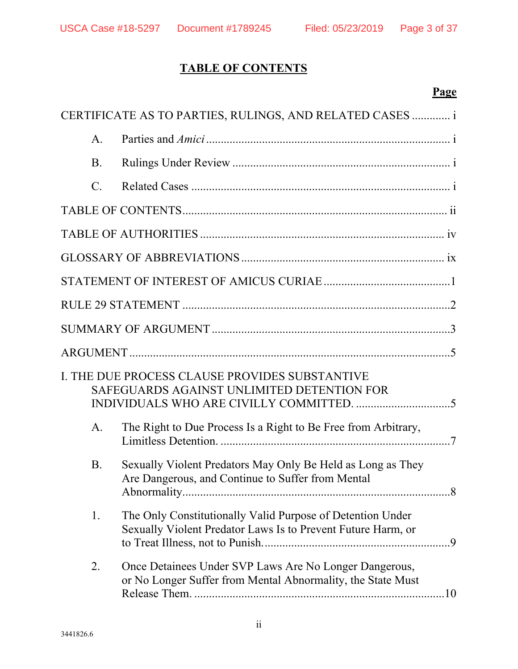## **TABLE OF CONTENTS**

## **Page**

|                 | CERTIFICATE AS TO PARTIES, RULINGS, AND RELATED CASES  i                                                                   |  |
|-----------------|----------------------------------------------------------------------------------------------------------------------------|--|
| $\mathsf{A}$ .  |                                                                                                                            |  |
| <b>B</b> .      |                                                                                                                            |  |
| $\mathcal{C}$ . |                                                                                                                            |  |
|                 |                                                                                                                            |  |
|                 |                                                                                                                            |  |
|                 |                                                                                                                            |  |
|                 |                                                                                                                            |  |
|                 |                                                                                                                            |  |
|                 |                                                                                                                            |  |
|                 |                                                                                                                            |  |
|                 | I. THE DUE PROCESS CLAUSE PROVIDES SUBSTANTIVE<br>SAFEGUARDS AGAINST UNLIMITED DETENTION FOR                               |  |
| A <sub>1</sub>  | The Right to Due Process Is a Right to Be Free from Arbitrary,                                                             |  |
| <b>B</b> .      | Sexually Violent Predators May Only Be Held as Long as They<br>Are Dangerous, and Continue to Suffer from Mental           |  |
| 1.              | The Only Constitutionally Valid Purpose of Detention Under<br>Sexually Violent Predator Laws Is to Prevent Future Harm, or |  |
| 2.              | Once Detainees Under SVP Laws Are No Longer Dangerous,<br>or No Longer Suffer from Mental Abnormality, the State Must      |  |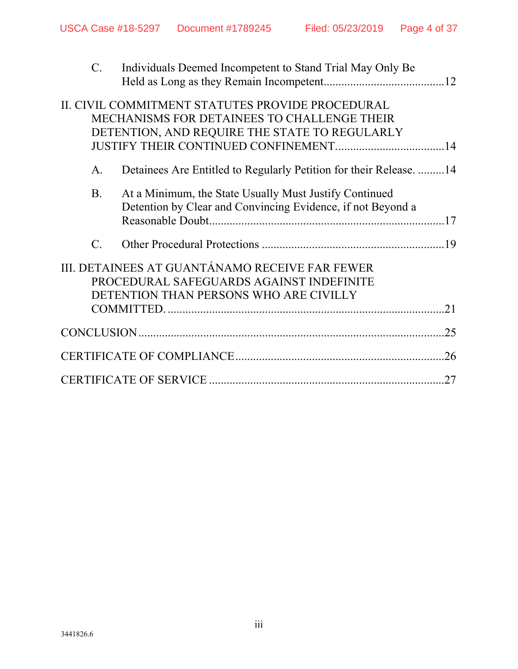| $C_{\cdot}$      | Individuals Deemed Incompetent to Stand Trial May Only Be                                                                                        |     |
|------------------|--------------------------------------------------------------------------------------------------------------------------------------------------|-----|
|                  | II. CIVIL COMMITMENT STATUTES PROVIDE PROCEDURAL<br>MECHANISMS FOR DETAINEES TO CHALLENGE THEIR<br>DETENTION, AND REQUIRE THE STATE TO REGULARLY |     |
| $A_{\cdot}$      | Detainees Are Entitled to Regularly Petition for their Release14                                                                                 |     |
| <b>B.</b>        | At a Minimum, the State Usually Must Justify Continued<br>Detention by Clear and Convincing Evidence, if not Beyond a                            |     |
| $\overline{C}$ . |                                                                                                                                                  |     |
|                  | III. DETAINEES AT GUANTÁNAMO RECEIVE FAR FEWER<br>PROCEDURAL SAFEGUARDS AGAINST INDEFINITE<br>DETENTION THAN PERSONS WHO ARE CIVILLY             | 21  |
|                  |                                                                                                                                                  | .25 |
|                  |                                                                                                                                                  | .26 |
|                  |                                                                                                                                                  | 27  |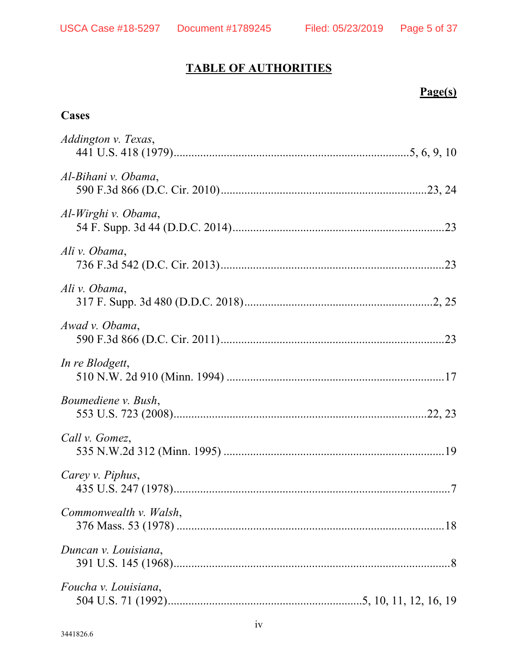## **TABLE OF AUTHORITIES**

## **Page(s)**

## **Cases**

| Addington v. Texas,    |
|------------------------|
| Al-Bihani v. Obama,    |
| Al-Wirghi v. Obama,    |
| Ali v. Obama,          |
| Ali v. Obama,          |
| Awad v. Obama,         |
| In re Blodgett,        |
| Boumediene v. Bush,    |
| Call v. Gomez,         |
| Carey v. Piphus,       |
| Commonwealth v. Walsh, |
| Duncan v. Louisiana,   |
| Foucha v. Louisiana,   |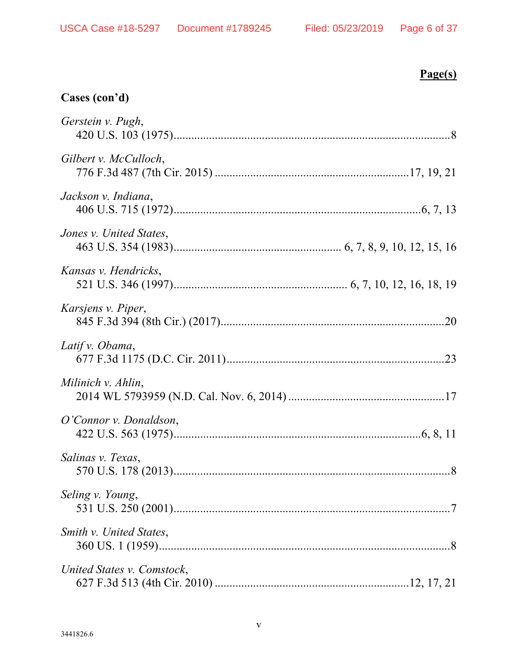## **Page(s)**

## **Cases (con'd)**

| Gerstein v. Pugh,          |  |
|----------------------------|--|
| Gilbert v. McCulloch,      |  |
| Jackson v. Indiana,        |  |
| Jones v. United States,    |  |
| Kansas v. Hendricks,       |  |
| Karsjens v. Piper,         |  |
| Latif v. Obama,            |  |
| Milinich v. Ahlin,         |  |
| O'Connor v. Donaldson,     |  |
| Salinas v. Texas,          |  |
| Seling v. Young,           |  |
| Smith v. United States,    |  |
| United States v. Comstock, |  |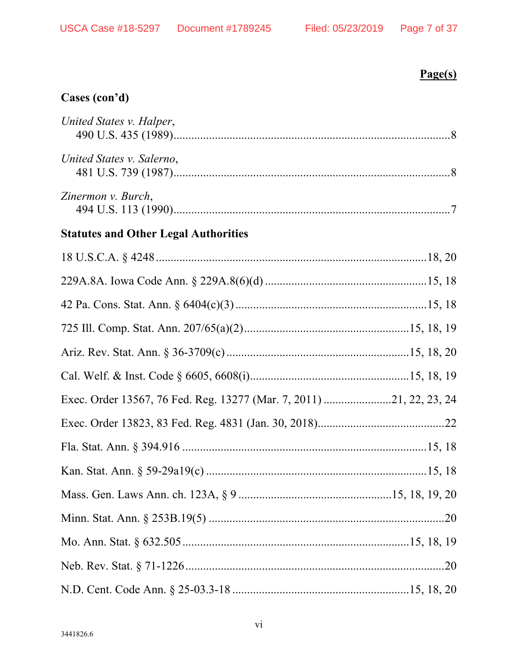## $Page(s)$

## Cases (con'd)

| United States v. Halper,                                            |  |
|---------------------------------------------------------------------|--|
| United States v. Salerno,                                           |  |
| Zinermon v. Burch,                                                  |  |
| <b>Statutes and Other Legal Authorities</b>                         |  |
|                                                                     |  |
|                                                                     |  |
|                                                                     |  |
|                                                                     |  |
|                                                                     |  |
|                                                                     |  |
| Exec. Order 13567, 76 Fed. Reg. 13277 (Mar. 7, 2011) 21, 22, 23, 24 |  |
|                                                                     |  |
|                                                                     |  |
|                                                                     |  |
|                                                                     |  |
|                                                                     |  |
|                                                                     |  |
|                                                                     |  |
|                                                                     |  |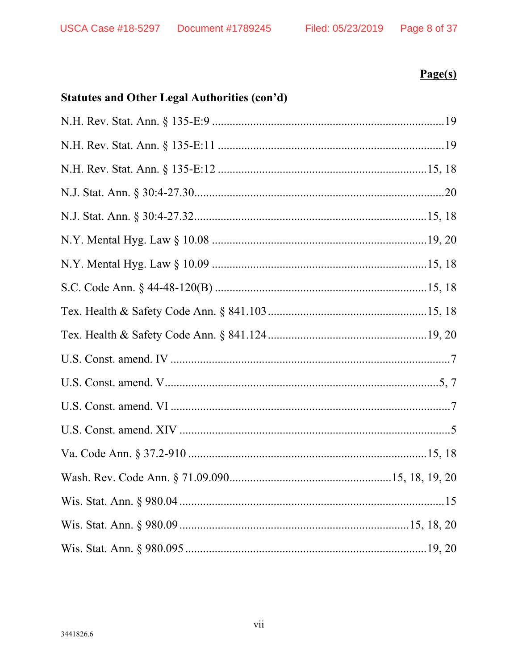### Page 8 of 37

## $Page(s)$

## **Statutes and Other Legal Authorities (con'd)**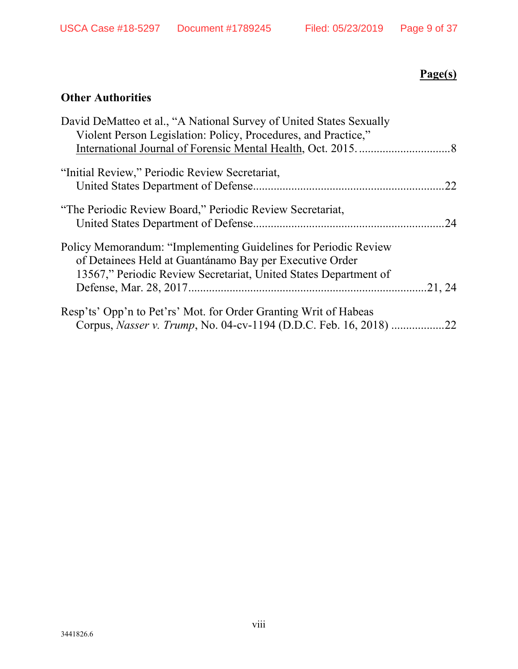## **Page(s)**

## **Other Authorities**

| David DeMatteo et al., "A National Survey of United States Sexually<br>Violent Person Legislation: Policy, Procedures, and Practice."                                                          |     |
|------------------------------------------------------------------------------------------------------------------------------------------------------------------------------------------------|-----|
|                                                                                                                                                                                                |     |
| "Initial Review," Periodic Review Secretariat,                                                                                                                                                 |     |
|                                                                                                                                                                                                | 22. |
| "The Periodic Review Board," Periodic Review Secretariat,                                                                                                                                      | 24  |
| Policy Memorandum: "Implementing Guidelines for Periodic Review<br>of Detainees Held at Guantánamo Bay per Executive Order<br>13567," Periodic Review Secretariat, United States Department of |     |
|                                                                                                                                                                                                |     |
| Resp'ts' Opp'n to Pet'rs' Mot. for Order Granting Writ of Habeas                                                                                                                               |     |
| Corpus, <i>Nasser v. Trump</i> , No. 04-cv-1194 (D.D.C. Feb. 16, 2018)                                                                                                                         | 22  |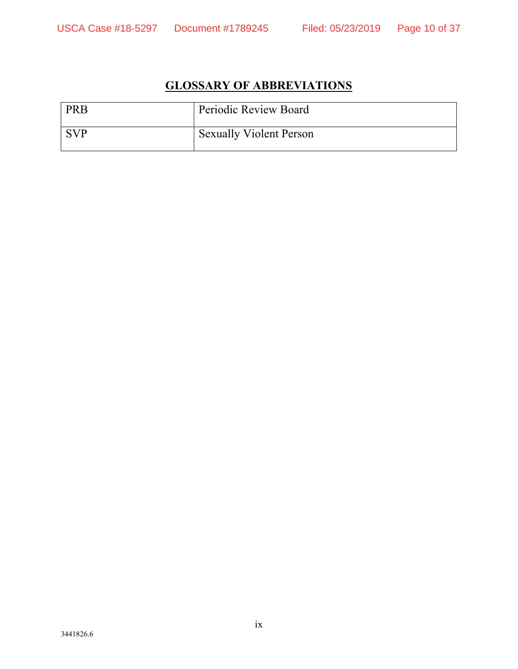## **GLOSSARY OF ABBREVIATIONS**

| <b>PRB</b> | Periodic Review Board          |
|------------|--------------------------------|
| <b>SVP</b> | <b>Sexually Violent Person</b> |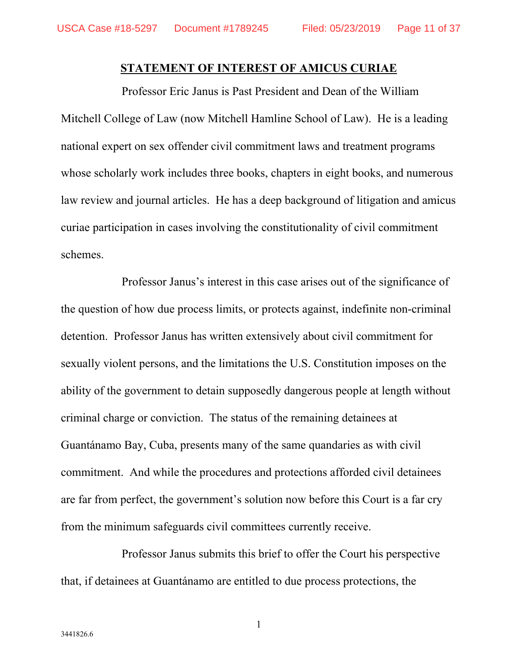#### **STATEMENT OF INTEREST OF AMICUS CURIAE**

Professor Eric Janus is Past President and Dean of the William Mitchell College of Law (now Mitchell Hamline School of Law). He is a leading national expert on sex offender civil commitment laws and treatment programs whose scholarly work includes three books, chapters in eight books, and numerous law review and journal articles. He has a deep background of litigation and amicus curiae participation in cases involving the constitutionality of civil commitment schemes.

Professor Janus's interest in this case arises out of the significance of the question of how due process limits, or protects against, indefinite non-criminal detention. Professor Janus has written extensively about civil commitment for sexually violent persons, and the limitations the U.S. Constitution imposes on the ability of the government to detain supposedly dangerous people at length without criminal charge or conviction. The status of the remaining detainees at Guantánamo Bay, Cuba, presents many of the same quandaries as with civil commitment. And while the procedures and protections afforded civil detainees are far from perfect, the government's solution now before this Court is a far cry from the minimum safeguards civil committees currently receive.

Professor Janus submits this brief to offer the Court his perspective that, if detainees at Guantánamo are entitled to due process protections, the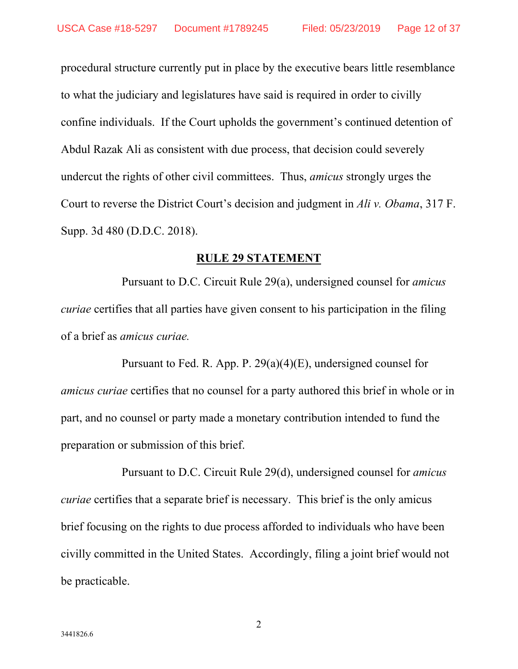procedural structure currently put in place by the executive bears little resemblance to what the judiciary and legislatures have said is required in order to civilly confine individuals. If the Court upholds the government's continued detention of Abdul Razak Ali as consistent with due process, that decision could severely undercut the rights of other civil committees. Thus, *amicus* strongly urges the Court to reverse the District Court's decision and judgment in *Ali v. Obama*, 317 F. Supp. 3d 480 (D.D.C. 2018).

#### **RULE 29 STATEMENT**

Pursuant to D.C. Circuit Rule 29(a), undersigned counsel for *amicus curiae* certifies that all parties have given consent to his participation in the filing of a brief as *amicus curiae.*

Pursuant to Fed. R. App. P. 29(a)(4)(E), undersigned counsel for *amicus curiae* certifies that no counsel for a party authored this brief in whole or in part, and no counsel or party made a monetary contribution intended to fund the preparation or submission of this brief.

Pursuant to D.C. Circuit Rule 29(d), undersigned counsel for *amicus curiae* certifies that a separate brief is necessary. This brief is the only amicus brief focusing on the rights to due process afforded to individuals who have been civilly committed in the United States. Accordingly, filing a joint brief would not be practicable.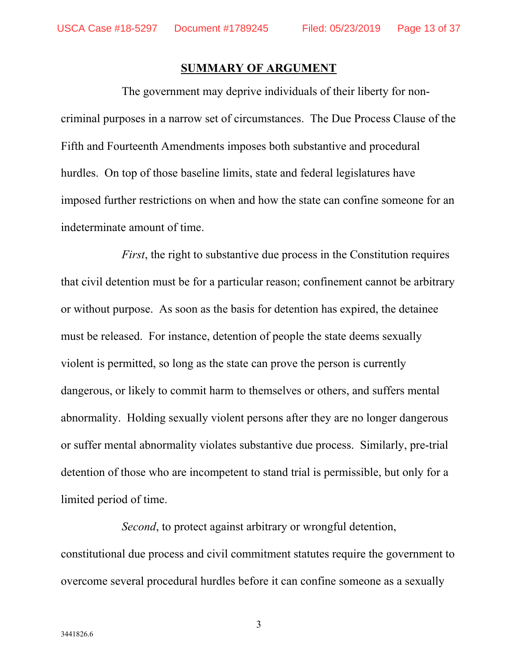#### **SUMMARY OF ARGUMENT**

The government may deprive individuals of their liberty for noncriminal purposes in a narrow set of circumstances. The Due Process Clause of the Fifth and Fourteenth Amendments imposes both substantive and procedural hurdles. On top of those baseline limits, state and federal legislatures have imposed further restrictions on when and how the state can confine someone for an indeterminate amount of time.

*First*, the right to substantive due process in the Constitution requires that civil detention must be for a particular reason; confinement cannot be arbitrary or without purpose. As soon as the basis for detention has expired, the detainee must be released. For instance, detention of people the state deems sexually violent is permitted, so long as the state can prove the person is currently dangerous, or likely to commit harm to themselves or others, and suffers mental abnormality. Holding sexually violent persons after they are no longer dangerous or suffer mental abnormality violates substantive due process. Similarly, pre-trial detention of those who are incompetent to stand trial is permissible, but only for a limited period of time.

*Second*, to protect against arbitrary or wrongful detention, constitutional due process and civil commitment statutes require the government to overcome several procedural hurdles before it can confine someone as a sexually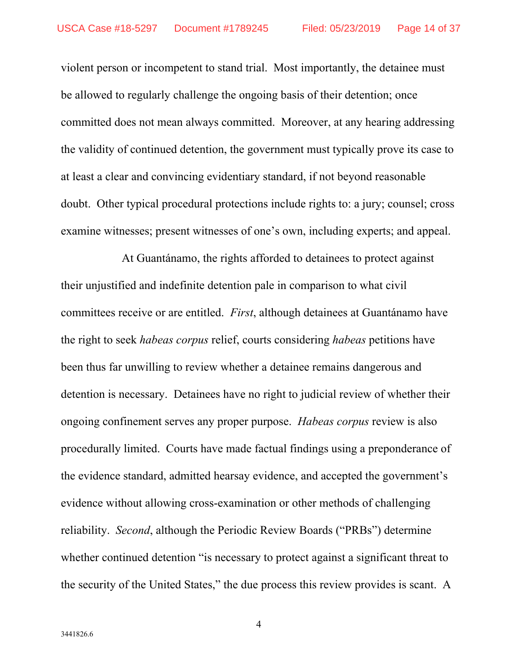violent person or incompetent to stand trial. Most importantly, the detainee must be allowed to regularly challenge the ongoing basis of their detention; once committed does not mean always committed. Moreover, at any hearing addressing the validity of continued detention, the government must typically prove its case to at least a clear and convincing evidentiary standard, if not beyond reasonable doubt. Other typical procedural protections include rights to: a jury; counsel; cross examine witnesses; present witnesses of one's own, including experts; and appeal.

At Guantánamo, the rights afforded to detainees to protect against their unjustified and indefinite detention pale in comparison to what civil committees receive or are entitled. *First*, although detainees at Guantánamo have the right to seek *habeas corpus* relief, courts considering *habeas* petitions have been thus far unwilling to review whether a detainee remains dangerous and detention is necessary. Detainees have no right to judicial review of whether their ongoing confinement serves any proper purpose. *Habeas corpus* review is also procedurally limited. Courts have made factual findings using a preponderance of the evidence standard, admitted hearsay evidence, and accepted the government's evidence without allowing cross-examination or other methods of challenging reliability. *Second*, although the Periodic Review Boards ("PRBs") determine whether continued detention "is necessary to protect against a significant threat to the security of the United States," the due process this review provides is scant. A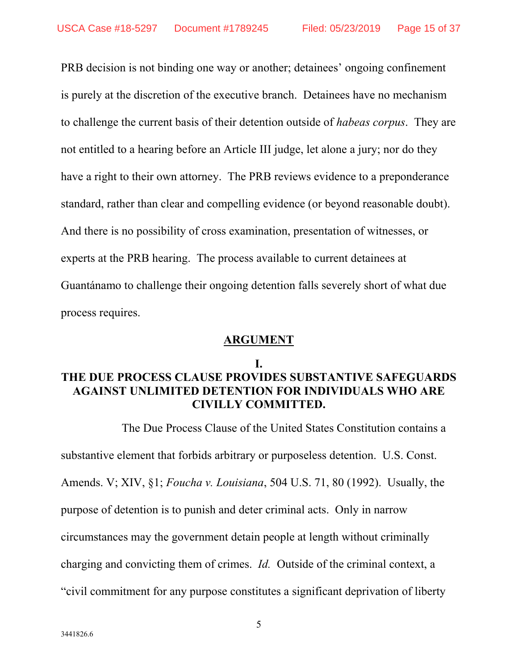PRB decision is not binding one way or another; detainees' ongoing confinement is purely at the discretion of the executive branch. Detainees have no mechanism to challenge the current basis of their detention outside of *habeas corpus*. They are not entitled to a hearing before an Article III judge, let alone a jury; nor do they have a right to their own attorney. The PRB reviews evidence to a preponderance standard, rather than clear and compelling evidence (or beyond reasonable doubt). And there is no possibility of cross examination, presentation of witnesses, or experts at the PRB hearing. The process available to current detainees at Guantánamo to challenge their ongoing detention falls severely short of what due process requires.

#### **ARGUMENT**

#### **I.**

## **THE DUE PROCESS CLAUSE PROVIDES SUBSTANTIVE SAFEGUARDS AGAINST UNLIMITED DETENTION FOR INDIVIDUALS WHO ARE CIVILLY COMMITTED.**

The Due Process Clause of the United States Constitution contains a substantive element that forbids arbitrary or purposeless detention. U.S. Const. Amends. V; XIV, §1; *Foucha v. Louisiana*, 504 U.S. 71, 80 (1992). Usually, the purpose of detention is to punish and deter criminal acts. Only in narrow circumstances may the government detain people at length without criminally charging and convicting them of crimes. *Id.* Outside of the criminal context, a "civil commitment for any purpose constitutes a significant deprivation of liberty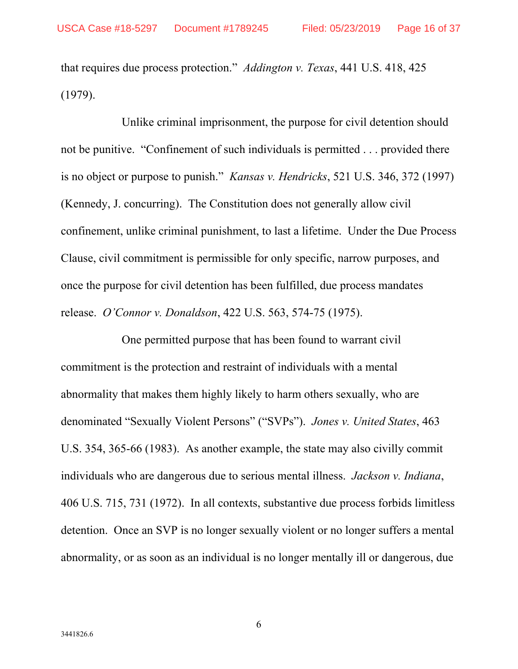that requires due process protection." *Addington v. Texas*, 441 U.S. 418, 425 (1979).

Unlike criminal imprisonment, the purpose for civil detention should not be punitive. "Confinement of such individuals is permitted . . . provided there is no object or purpose to punish." *Kansas v. Hendricks*, 521 U.S. 346, 372 (1997) (Kennedy, J. concurring). The Constitution does not generally allow civil confinement, unlike criminal punishment, to last a lifetime. Under the Due Process Clause, civil commitment is permissible for only specific, narrow purposes, and once the purpose for civil detention has been fulfilled, due process mandates release. *O'Connor v. Donaldson*, 422 U.S. 563, 574-75 (1975).

One permitted purpose that has been found to warrant civil commitment is the protection and restraint of individuals with a mental abnormality that makes them highly likely to harm others sexually, who are denominated "Sexually Violent Persons" ("SVPs"). *Jones v. United States*, 463 U.S. 354, 365-66 (1983). As another example, the state may also civilly commit individuals who are dangerous due to serious mental illness. *Jackson v. Indiana*, 406 U.S. 715, 731 (1972). In all contexts, substantive due process forbids limitless detention. Once an SVP is no longer sexually violent or no longer suffers a mental abnormality, or as soon as an individual is no longer mentally ill or dangerous, due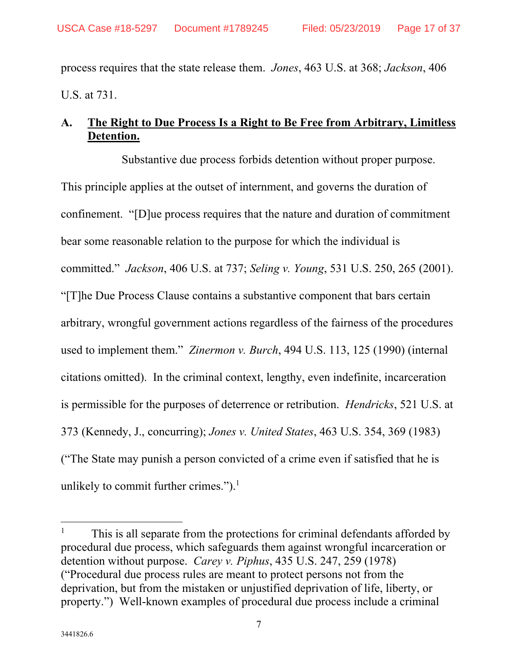process requires that the state release them. *Jones*, 463 U.S. at 368; *Jackson*, 406 U.S. at 731.

## **A. The Right to Due Process Is a Right to Be Free from Arbitrary, Limitless Detention.**

Substantive due process forbids detention without proper purpose. This principle applies at the outset of internment, and governs the duration of confinement. "[D]ue process requires that the nature and duration of commitment bear some reasonable relation to the purpose for which the individual is committed." *Jackson*, 406 U.S. at 737; *Seling v. Young*, 531 U.S. 250, 265 (2001). "[T]he Due Process Clause contains a substantive component that bars certain arbitrary, wrongful government actions regardless of the fairness of the procedures used to implement them." *Zinermon v. Burch*, 494 U.S. 113, 125 (1990) (internal citations omitted). In the criminal context, lengthy, even indefinite, incarceration is permissible for the purposes of deterrence or retribution. *Hendricks*, 521 U.S. at 373 (Kennedy, J., concurring); *Jones v. United States*, 463 U.S. 354, 369 (1983) ("The State may punish a person convicted of a crime even if satisfied that he is unlikely to commit further crimes."). $<sup>1</sup>$ </sup>

<sup>1</sup> This is all separate from the protections for criminal defendants afforded by procedural due process, which safeguards them against wrongful incarceration or detention without purpose. *Carey v. Piphus*, 435 U.S. 247, 259 (1978) ("Procedural due process rules are meant to protect persons not from the deprivation, but from the mistaken or unjustified deprivation of life, liberty, or property.") Well-known examples of procedural due process include a criminal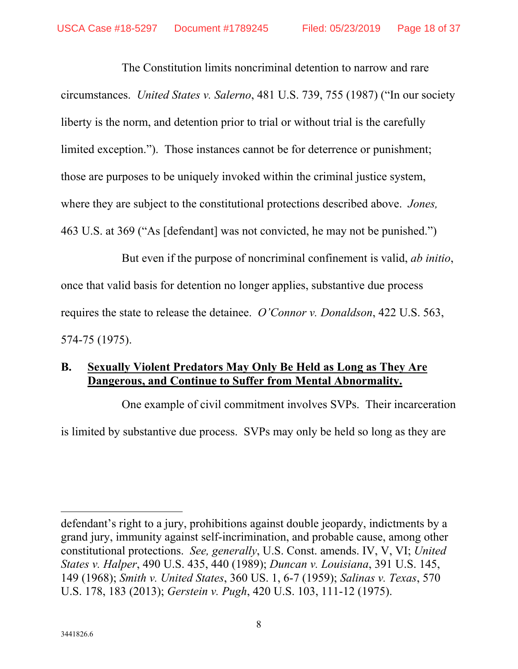The Constitution limits noncriminal detention to narrow and rare circumstances. *United States v. Salerno*, 481 U.S. 739, 755 (1987) ("In our society liberty is the norm, and detention prior to trial or without trial is the carefully limited exception."). Those instances cannot be for deterrence or punishment; those are purposes to be uniquely invoked within the criminal justice system, where they are subject to the constitutional protections described above. *Jones,* 463 U.S. at 369 ("As [defendant] was not convicted, he may not be punished.")

But even if the purpose of noncriminal confinement is valid, *ab initio*, once that valid basis for detention no longer applies, substantive due process requires the state to release the detainee. *O'Connor v. Donaldson*, 422 U.S. 563, 574-75 (1975).

## **B. Sexually Violent Predators May Only Be Held as Long as They Are Dangerous, and Continue to Suffer from Mental Abnormality.**

One example of civil commitment involves SVPs. Their incarceration is limited by substantive due process. SVPs may only be held so long as they are

defendant's right to a jury, prohibitions against double jeopardy, indictments by a grand jury, immunity against self-incrimination, and probable cause, among other constitutional protections. *See, generally*, U.S. Const. amends. IV, V, VI; *United States v. Halper*, 490 U.S. 435, 440 (1989); *Duncan v. Louisiana*, 391 U.S. 145, 149 (1968); *Smith v. United States*, 360 US. 1, 6-7 (1959); *Salinas v. Texas*, 570 U.S. 178, 183 (2013); *Gerstein v. Pugh*, 420 U.S. 103, 111-12 (1975).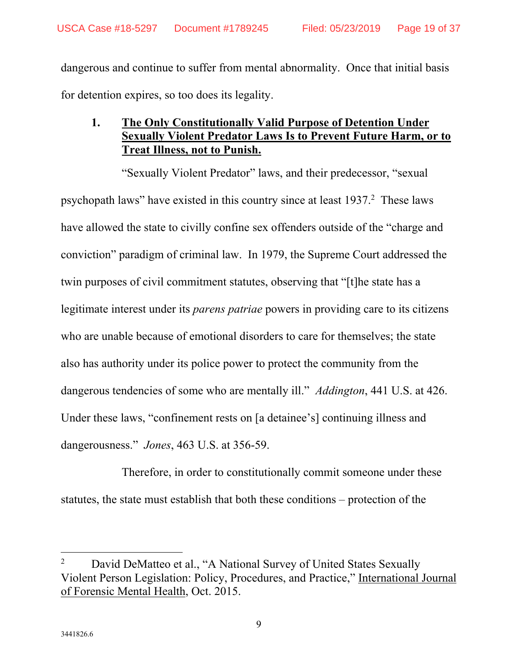dangerous and continue to suffer from mental abnormality. Once that initial basis for detention expires, so too does its legality.

## **1. The Only Constitutionally Valid Purpose of Detention Under Sexually Violent Predator Laws Is to Prevent Future Harm, or to Treat Illness, not to Punish.**

"Sexually Violent Predator" laws, and their predecessor, "sexual psychopath laws" have existed in this country since at least 1937.<sup>2</sup> These laws have allowed the state to civilly confine sex offenders outside of the "charge and conviction" paradigm of criminal law. In 1979, the Supreme Court addressed the twin purposes of civil commitment statutes, observing that "[t]he state has a legitimate interest under its *parens patriae* powers in providing care to its citizens who are unable because of emotional disorders to care for themselves; the state also has authority under its police power to protect the community from the dangerous tendencies of some who are mentally ill." *Addington*, 441 U.S. at 426. Under these laws, "confinement rests on [a detainee's] continuing illness and dangerousness." *Jones*, 463 U.S. at 356-59.

Therefore, in order to constitutionally commit someone under these statutes, the state must establish that both these conditions – protection of the

<sup>2</sup> David DeMatteo et al., "A National Survey of United States Sexually Violent Person Legislation: Policy, Procedures, and Practice," International Journal of Forensic Mental Health, Oct. 2015.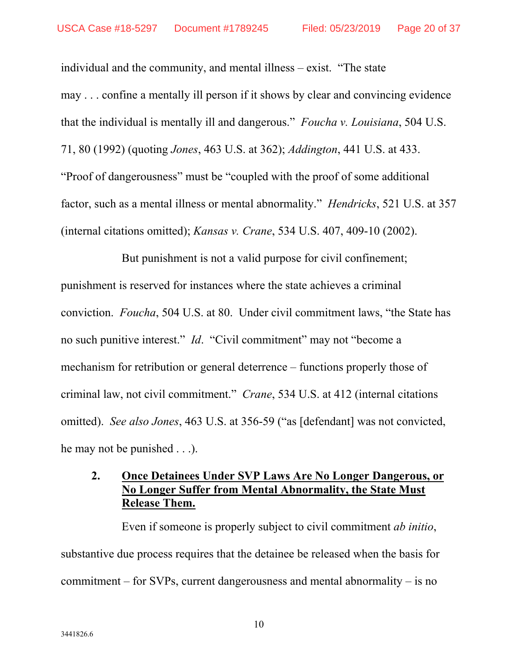individual and the community, and mental illness – exist. "The state may . . . confine a mentally ill person if it shows by clear and convincing evidence that the individual is mentally ill and dangerous." *Foucha v. Louisiana*, 504 U.S. 71, 80 (1992) (quoting *Jones*, 463 U.S. at 362); *Addington*, 441 U.S. at 433. "Proof of dangerousness" must be "coupled with the proof of some additional factor, such as a mental illness or mental abnormality." *Hendricks*, 521 U.S. at 357 (internal citations omitted); *Kansas v. Crane*, 534 U.S. 407, 409-10 (2002).

But punishment is not a valid purpose for civil confinement; punishment is reserved for instances where the state achieves a criminal conviction. *Foucha*, 504 U.S. at 80. Under civil commitment laws, "the State has no such punitive interest." *Id*. "Civil commitment" may not "become a mechanism for retribution or general deterrence – functions properly those of criminal law, not civil commitment." *Crane*, 534 U.S. at 412 (internal citations omitted). *See also Jones*, 463 U.S. at 356-59 ("as [defendant] was not convicted, he may not be punished . . .).

## **2. Once Detainees Under SVP Laws Are No Longer Dangerous, or No Longer Suffer from Mental Abnormality, the State Must Release Them.**

Even if someone is properly subject to civil commitment *ab initio*, substantive due process requires that the detainee be released when the basis for commitment – for SVPs, current dangerousness and mental abnormality – is no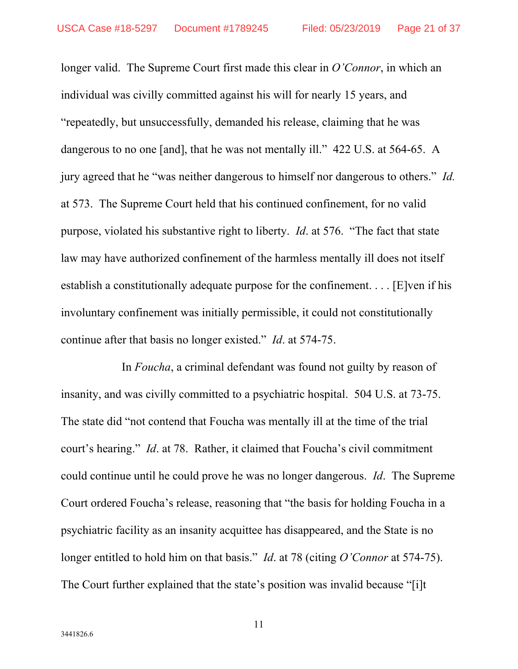longer valid. The Supreme Court first made this clear in *O'Connor*, in which an individual was civilly committed against his will for nearly 15 years, and "repeatedly, but unsuccessfully, demanded his release, claiming that he was dangerous to no one [and], that he was not mentally ill." 422 U.S. at 564-65. A jury agreed that he "was neither dangerous to himself nor dangerous to others." *Id.* at 573. The Supreme Court held that his continued confinement, for no valid purpose, violated his substantive right to liberty. *Id*. at 576. "The fact that state law may have authorized confinement of the harmless mentally ill does not itself establish a constitutionally adequate purpose for the confinement. . . . [E]ven if his involuntary confinement was initially permissible, it could not constitutionally continue after that basis no longer existed." *Id*. at 574-75.

In *Foucha*, a criminal defendant was found not guilty by reason of insanity, and was civilly committed to a psychiatric hospital. 504 U.S. at 73-75. The state did "not contend that Foucha was mentally ill at the time of the trial court's hearing." *Id*. at 78. Rather, it claimed that Foucha's civil commitment could continue until he could prove he was no longer dangerous. *Id*. The Supreme Court ordered Foucha's release, reasoning that "the basis for holding Foucha in a psychiatric facility as an insanity acquittee has disappeared, and the State is no longer entitled to hold him on that basis." *Id*. at 78 (citing *O'Connor* at 574-75). The Court further explained that the state's position was invalid because "[i]t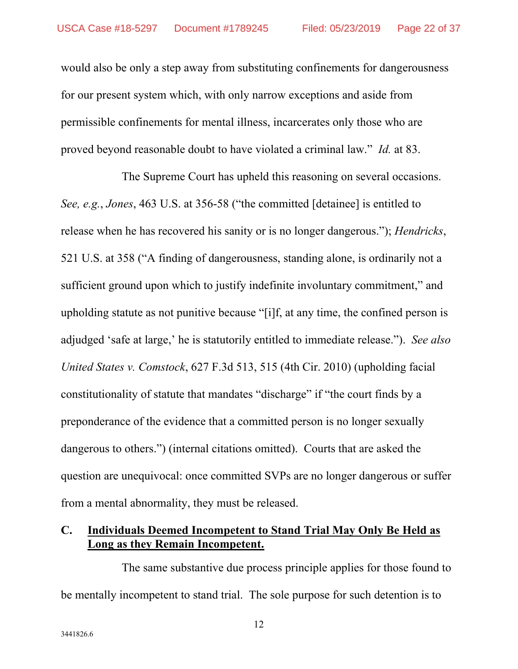would also be only a step away from substituting confinements for dangerousness for our present system which, with only narrow exceptions and aside from permissible confinements for mental illness, incarcerates only those who are proved beyond reasonable doubt to have violated a criminal law." *Id.* at 83.

The Supreme Court has upheld this reasoning on several occasions. *See, e.g.*, *Jones*, 463 U.S. at 356-58 ("the committed [detainee] is entitled to release when he has recovered his sanity or is no longer dangerous."); *Hendricks*, 521 U.S. at 358 ("A finding of dangerousness, standing alone, is ordinarily not a sufficient ground upon which to justify indefinite involuntary commitment," and upholding statute as not punitive because "[i]f, at any time, the confined person is adjudged 'safe at large,' he is statutorily entitled to immediate release."). *See also United States v. Comstock*, 627 F.3d 513, 515 (4th Cir. 2010) (upholding facial constitutionality of statute that mandates "discharge" if "the court finds by a preponderance of the evidence that a committed person is no longer sexually dangerous to others.") (internal citations omitted). Courts that are asked the question are unequivocal: once committed SVPs are no longer dangerous or suffer from a mental abnormality, they must be released.

### **C. Individuals Deemed Incompetent to Stand Trial May Only Be Held as Long as they Remain Incompetent.**

The same substantive due process principle applies for those found to be mentally incompetent to stand trial. The sole purpose for such detention is to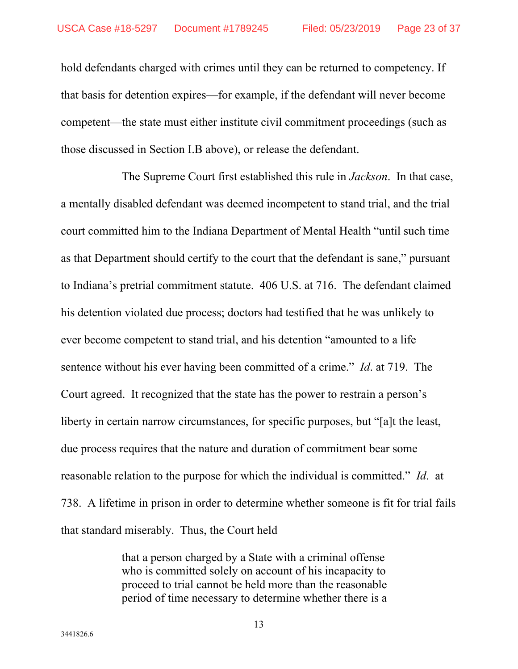hold defendants charged with crimes until they can be returned to competency. If that basis for detention expires—for example, if the defendant will never become competent—the state must either institute civil commitment proceedings (such as those discussed in Section I.B above), or release the defendant.

The Supreme Court first established this rule in *Jackson*. In that case, a mentally disabled defendant was deemed incompetent to stand trial, and the trial court committed him to the Indiana Department of Mental Health "until such time as that Department should certify to the court that the defendant is sane," pursuant to Indiana's pretrial commitment statute. 406 U.S. at 716. The defendant claimed his detention violated due process; doctors had testified that he was unlikely to ever become competent to stand trial, and his detention "amounted to a life sentence without his ever having been committed of a crime." *Id*. at 719. The Court agreed. It recognized that the state has the power to restrain a person's liberty in certain narrow circumstances, for specific purposes, but "[a]t the least, due process requires that the nature and duration of commitment bear some reasonable relation to the purpose for which the individual is committed." *Id*. at 738. A lifetime in prison in order to determine whether someone is fit for trial fails that standard miserably. Thus, the Court held

> that a person charged by a State with a criminal offense who is committed solely on account of his incapacity to proceed to trial cannot be held more than the reasonable period of time necessary to determine whether there is a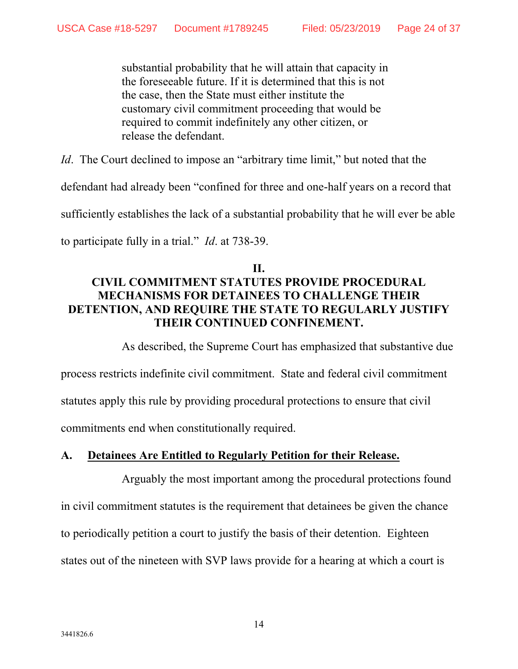substantial probability that he will attain that capacity in the foreseeable future. If it is determined that this is not the case, then the State must either institute the customary civil commitment proceeding that would be required to commit indefinitely any other citizen, or release the defendant.

*Id.* The Court declined to impose an "arbitrary time limit," but noted that the defendant had already been "confined for three and one-half years on a record that

sufficiently establishes the lack of a substantial probability that he will ever be able

to participate fully in a trial." *Id*. at 738-39.

## **II. CIVIL COMMITMENT STATUTES PROVIDE PROCEDURAL MECHANISMS FOR DETAINEES TO CHALLENGE THEIR DETENTION, AND REQUIRE THE STATE TO REGULARLY JUSTIFY THEIR CONTINUED CONFINEMENT.**

As described, the Supreme Court has emphasized that substantive due process restricts indefinite civil commitment. State and federal civil commitment statutes apply this rule by providing procedural protections to ensure that civil commitments end when constitutionally required.

## **A. Detainees Are Entitled to Regularly Petition for their Release.**

Arguably the most important among the procedural protections found in civil commitment statutes is the requirement that detainees be given the chance to periodically petition a court to justify the basis of their detention. Eighteen states out of the nineteen with SVP laws provide for a hearing at which a court is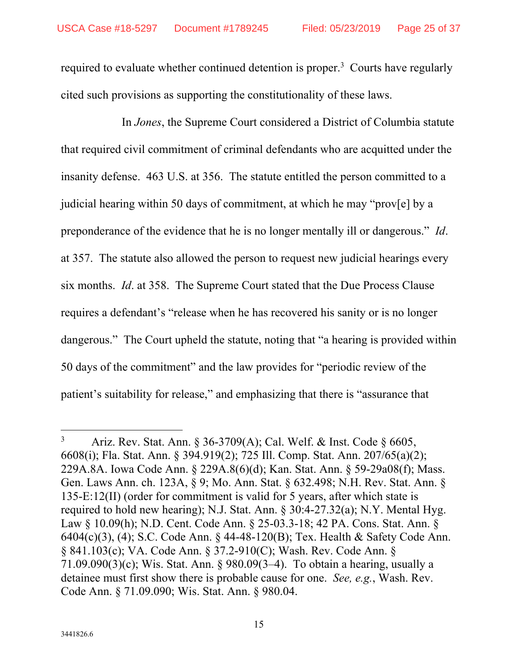required to evaluate whether continued detention is proper.<sup>3</sup> Courts have regularly cited such provisions as supporting the constitutionality of these laws.

In *Jones*, the Supreme Court considered a District of Columbia statute that required civil commitment of criminal defendants who are acquitted under the insanity defense. 463 U.S. at 356. The statute entitled the person committed to a judicial hearing within 50 days of commitment, at which he may "prov[e] by a preponderance of the evidence that he is no longer mentally ill or dangerous." *Id*. at 357. The statute also allowed the person to request new judicial hearings every six months. *Id*. at 358. The Supreme Court stated that the Due Process Clause requires a defendant's "release when he has recovered his sanity or is no longer dangerous." The Court upheld the statute, noting that "a hearing is provided within 50 days of the commitment" and the law provides for "periodic review of the patient's suitability for release," and emphasizing that there is "assurance that

<sup>3</sup> Ariz. Rev. Stat. Ann. § 36-3709(A); Cal. Welf. & Inst. Code § 6605, 6608(i); Fla. Stat. Ann. § 394.919(2); 725 Ill. Comp. Stat. Ann. 207/65(a)(2); 229A.8A. Iowa Code Ann. § 229A.8(6)(d); Kan. Stat. Ann. § 59-29a08(f); Mass. Gen. Laws Ann. ch. 123A, § 9; Mo. Ann. Stat. § 632.498; N.H. Rev. Stat. Ann. § 135-E:12(II) (order for commitment is valid for 5 years, after which state is required to hold new hearing); N.J. Stat. Ann. § 30:4-27.32(a); N.Y. Mental Hyg. Law § 10.09(h); N.D. Cent. Code Ann. § 25-03.3-18; 42 PA. Cons. Stat. Ann. § 6404(c)(3), (4); S.C. Code Ann. § 44-48-120(B); Tex. Health & Safety Code Ann. § 841.103(c); VA. Code Ann. § 37.2-910(C); Wash. Rev. Code Ann. § 71.09.090(3)(c); Wis. Stat. Ann. § 980.09(3–4). To obtain a hearing, usually a detainee must first show there is probable cause for one. *See, e.g.*, Wash. Rev. Code Ann. § 71.09.090; Wis. Stat. Ann. § 980.04.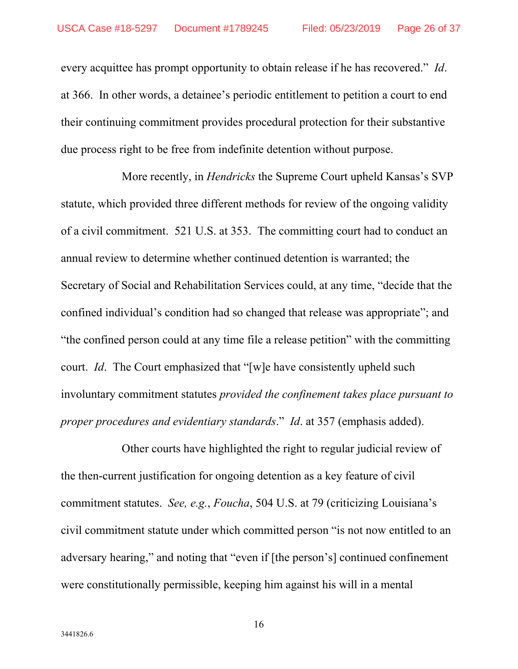every acquittee has prompt opportunity to obtain release if he has recovered." *Id*. at 366. In other words, a detainee's periodic entitlement to petition a court to end their continuing commitment provides procedural protection for their substantive due process right to be free from indefinite detention without purpose.

More recently, in *Hendricks* the Supreme Court upheld Kansas's SVP statute, which provided three different methods for review of the ongoing validity of a civil commitment. 521 U.S. at 353. The committing court had to conduct an annual review to determine whether continued detention is warranted; the Secretary of Social and Rehabilitation Services could, at any time, "decide that the confined individual's condition had so changed that release was appropriate"; and "the confined person could at any time file a release petition" with the committing court. *Id*. The Court emphasized that "[w]e have consistently upheld such involuntary commitment statutes *provided the confinement takes place pursuant to proper procedures and evidentiary standards*." *Id*. at 357 (emphasis added).

Other courts have highlighted the right to regular judicial review of the then-current justification for ongoing detention as a key feature of civil commitment statutes. *See, e.g.*, *Foucha*, 504 U.S. at 79 (criticizing Louisiana's civil commitment statute under which committed person "is not now entitled to an adversary hearing," and noting that "even if [the person's] continued confinement were constitutionally permissible, keeping him against his will in a mental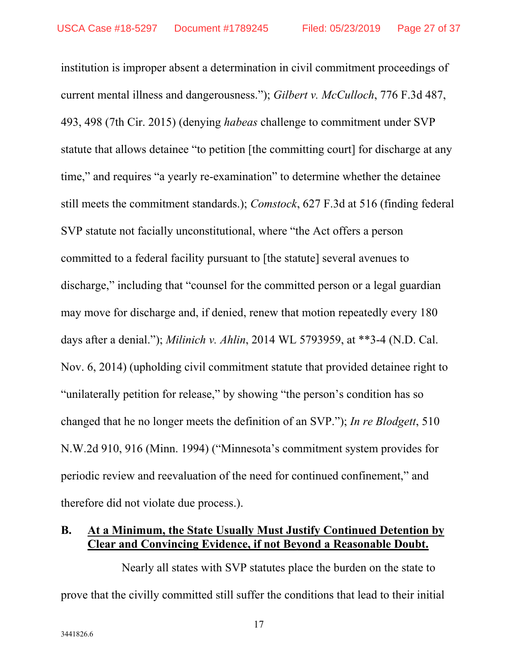institution is improper absent a determination in civil commitment proceedings of current mental illness and dangerousness."); *Gilbert v. McCulloch*, 776 F.3d 487, 493, 498 (7th Cir. 2015) (denying *habeas* challenge to commitment under SVP statute that allows detainee "to petition [the committing court] for discharge at any time," and requires "a yearly re-examination" to determine whether the detainee still meets the commitment standards.); *Comstock*, 627 F.3d at 516 (finding federal SVP statute not facially unconstitutional, where "the Act offers a person committed to a federal facility pursuant to [the statute] several avenues to discharge," including that "counsel for the committed person or a legal guardian may move for discharge and, if denied, renew that motion repeatedly every 180 days after a denial."); *Milinich v. Ahlin*, 2014 WL 5793959, at \*\*3-4 (N.D. Cal. Nov. 6, 2014) (upholding civil commitment statute that provided detainee right to "unilaterally petition for release," by showing "the person's condition has so changed that he no longer meets the definition of an SVP."); *In re Blodgett*, 510 N.W.2d 910, 916 (Minn. 1994) ("Minnesota's commitment system provides for periodic review and reevaluation of the need for continued confinement," and therefore did not violate due process.).

### **B. At a Minimum, the State Usually Must Justify Continued Detention by Clear and Convincing Evidence, if not Beyond a Reasonable Doubt.**

Nearly all states with SVP statutes place the burden on the state to prove that the civilly committed still suffer the conditions that lead to their initial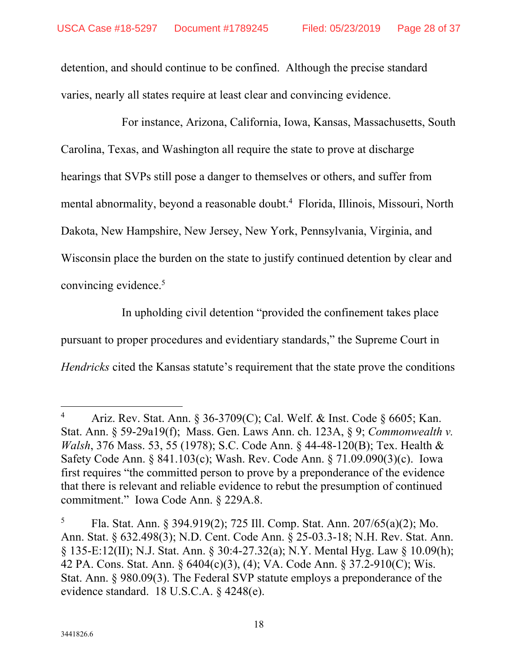detention, and should continue to be confined. Although the precise standard varies, nearly all states require at least clear and convincing evidence.

For instance, Arizona, California, Iowa, Kansas, Massachusetts, South Carolina, Texas, and Washington all require the state to prove at discharge hearings that SVPs still pose a danger to themselves or others, and suffer from mental abnormality, beyond a reasonable doubt.<sup>4</sup> Florida, Illinois, Missouri, North Dakota, New Hampshire, New Jersey, New York, Pennsylvania, Virginia, and Wisconsin place the burden on the state to justify continued detention by clear and convincing evidence.<sup>5</sup>

In upholding civil detention "provided the confinement takes place pursuant to proper procedures and evidentiary standards," the Supreme Court in *Hendricks* cited the Kansas statute's requirement that the state prove the conditions

<sup>4</sup> Ariz. Rev. Stat. Ann. § 36-3709(C); Cal. Welf. & Inst. Code § 6605; Kan. Stat. Ann. § 59-29a19(f); Mass. Gen. Laws Ann. ch. 123A, § 9; *Commonwealth v. Walsh*, 376 Mass. 53, 55 (1978); S.C. Code Ann. § 44-48-120(B); Tex. Health & Safety Code Ann. § 841.103(c); Wash. Rev. Code Ann. § 71.09.090(3)(c). Iowa first requires "the committed person to prove by a preponderance of the evidence that there is relevant and reliable evidence to rebut the presumption of continued commitment." Iowa Code Ann. § 229A.8.

<sup>5</sup> Fla. Stat. Ann. § 394.919(2); 725 Ill. Comp. Stat. Ann. 207/65(a)(2); Mo. Ann. Stat. § 632.498(3); N.D. Cent. Code Ann. § 25-03.3-18; N.H. Rev. Stat. Ann. § 135-E:12(II); N.J. Stat. Ann. § 30:4-27.32(a); N.Y. Mental Hyg. Law § 10.09(h); 42 PA. Cons. Stat. Ann. § 6404(c)(3), (4); VA. Code Ann. § 37.2-910(C); Wis. Stat. Ann. § 980.09(3). The Federal SVP statute employs a preponderance of the evidence standard. 18 U.S.C.A. § 4248(e).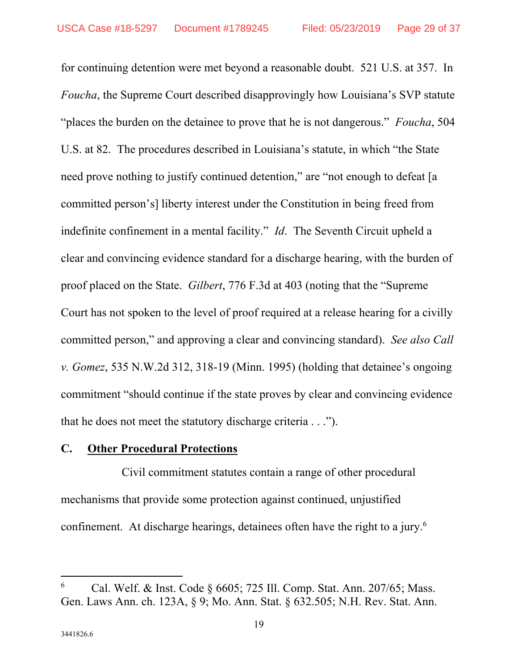for continuing detention were met beyond a reasonable doubt. 521 U.S. at 357. In *Foucha*, the Supreme Court described disapprovingly how Louisiana's SVP statute "places the burden on the detainee to prove that he is not dangerous." *Foucha*, 504 U.S. at 82. The procedures described in Louisiana's statute, in which "the State need prove nothing to justify continued detention," are "not enough to defeat [a committed person's] liberty interest under the Constitution in being freed from indefinite confinement in a mental facility." *Id*. The Seventh Circuit upheld a clear and convincing evidence standard for a discharge hearing, with the burden of proof placed on the State. *Gilbert*, 776 F.3d at 403 (noting that the "Supreme Court has not spoken to the level of proof required at a release hearing for a civilly committed person," and approving a clear and convincing standard). *See also Call v. Gomez*, 535 N.W.2d 312, 318-19 (Minn. 1995) (holding that detainee's ongoing commitment "should continue if the state proves by clear and convincing evidence that he does not meet the statutory discharge criteria . . .").

#### **C. Other Procedural Protections**

Civil commitment statutes contain a range of other procedural mechanisms that provide some protection against continued, unjustified confinement. At discharge hearings, detainees often have the right to a jury.<sup>6</sup>

<sup>6</sup> Cal. Welf. & Inst. Code § 6605; 725 Ill. Comp. Stat. Ann. 207/65; Mass. Gen. Laws Ann. ch. 123A, § 9; Mo. Ann. Stat. § 632.505; N.H. Rev. Stat. Ann.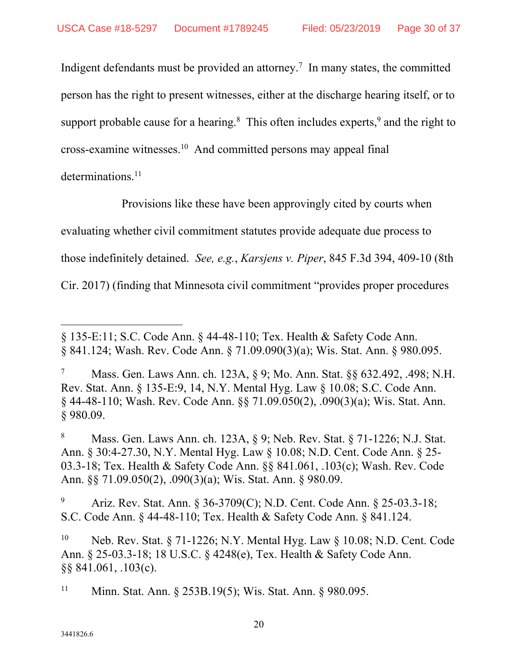Indigent defendants must be provided an attorney.<sup>7</sup> In many states, the committed person has the right to present witnesses, either at the discharge hearing itself, or to support probable cause for a hearing. $8$  This often includes experts, $9$  and the right to cross-examine witnesses.10 And committed persons may appeal final

determinations. $^{11}$ 

 $\overline{a}$ 

Provisions like these have been approvingly cited by courts when evaluating whether civil commitment statutes provide adequate due process to those indefinitely detained. *See, e.g.*, *Karsjens v. Piper*, 845 F.3d 394, 409-10 (8th Cir. 2017) (finding that Minnesota civil commitment "provides proper procedures

<sup>§ 135-</sup>E:11; S.C. Code Ann. § 44-48-110; Tex. Health & Safety Code Ann. § 841.124; Wash. Rev. Code Ann. § 71.09.090(3)(a); Wis. Stat. Ann. § 980.095.

<sup>7</sup> Mass. Gen. Laws Ann. ch. 123A, § 9; Mo. Ann. Stat. §§ 632.492, .498; N.H. Rev. Stat. Ann. § 135-E:9, 14, N.Y. Mental Hyg. Law § 10.08; S.C. Code Ann. § 44-48-110; Wash. Rev. Code Ann. §§ 71.09.050(2), .090(3)(a); Wis. Stat. Ann. § 980.09.

<sup>8</sup> Mass. Gen. Laws Ann. ch. 123A, § 9; Neb. Rev. Stat. § 71-1226; N.J. Stat. Ann. § 30:4-27.30, N.Y. Mental Hyg. Law § 10.08; N.D. Cent. Code Ann. § 25- 03.3-18; Tex. Health & Safety Code Ann. §§ 841.061, .103(c); Wash. Rev. Code Ann. §§ 71.09.050(2), .090(3)(a); Wis. Stat. Ann. § 980.09.

<sup>9</sup> Ariz. Rev. Stat. Ann. § 36-3709(C); N.D. Cent. Code Ann. § 25-03.3-18; S.C. Code Ann. § 44-48-110; Tex. Health & Safety Code Ann. § 841.124.

<sup>&</sup>lt;sup>10</sup> Neb. Rev. Stat. § 71-1226; N.Y. Mental Hyg. Law § 10.08; N.D. Cent. Code Ann. § 25-03.3-18; 18 U.S.C. § 4248(e), Tex. Health & Safety Code Ann. §§ 841.061, .103(c).

<sup>11</sup> Minn. Stat. Ann. § 253B.19(5); Wis. Stat. Ann. § 980.095.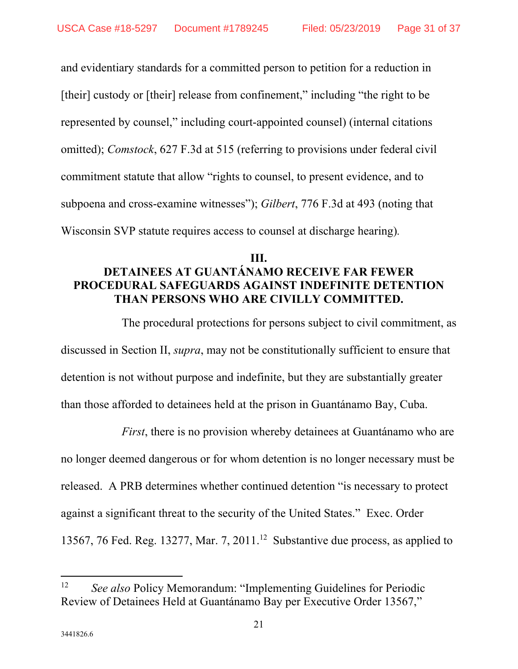and evidentiary standards for a committed person to petition for a reduction in [their] custody or [their] release from confinement," including "the right to be represented by counsel," including court-appointed counsel) (internal citations omitted); *Comstock*, 627 F.3d at 515 (referring to provisions under federal civil commitment statute that allow "rights to counsel, to present evidence, and to subpoena and cross-examine witnesses"); *Gilbert*, 776 F.3d at 493 (noting that Wisconsin SVP statute requires access to counsel at discharge hearing)*.*

## **III. DETAINEES AT GUANTÁNAMO RECEIVE FAR FEWER PROCEDURAL SAFEGUARDS AGAINST INDEFINITE DETENTION THAN PERSONS WHO ARE CIVILLY COMMITTED.**

The procedural protections for persons subject to civil commitment, as discussed in Section II, *supra*, may not be constitutionally sufficient to ensure that detention is not without purpose and indefinite, but they are substantially greater than those afforded to detainees held at the prison in Guantánamo Bay, Cuba.

*First*, there is no provision whereby detainees at Guantánamo who are no longer deemed dangerous or for whom detention is no longer necessary must be released. A PRB determines whether continued detention "is necessary to protect against a significant threat to the security of the United States." Exec. Order 13567, 76 Fed. Reg. 13277, Mar. 7, 2011.<sup>12</sup> Substantive due process, as applied to

<sup>12</sup> *See also* Policy Memorandum: "Implementing Guidelines for Periodic Review of Detainees Held at Guantánamo Bay per Executive Order 13567,"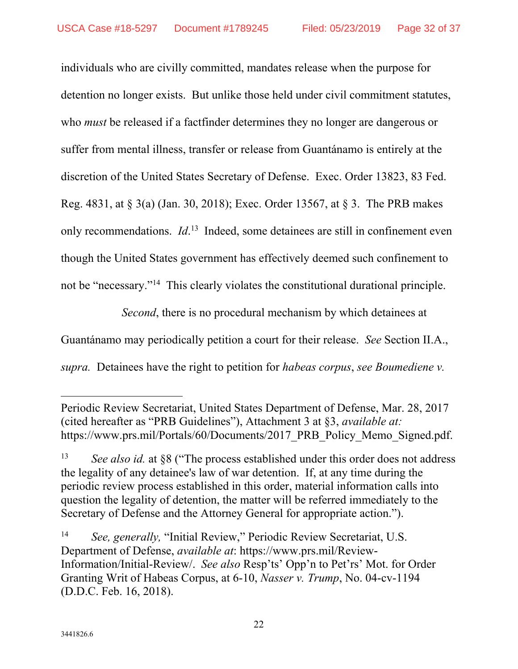individuals who are civilly committed, mandates release when the purpose for detention no longer exists. But unlike those held under civil commitment statutes, who *must* be released if a factfinder determines they no longer are dangerous or suffer from mental illness, transfer or release from Guantánamo is entirely at the discretion of the United States Secretary of Defense. Exec. Order 13823, 83 Fed. Reg. 4831, at § 3(a) (Jan. 30, 2018); Exec. Order 13567, at § 3. The PRB makes only recommendations. *Id*. 13 Indeed, some detainees are still in confinement even though the United States government has effectively deemed such confinement to not be "necessary."14 This clearly violates the constitutional durational principle.

*Second*, there is no procedural mechanism by which detainees at

Guantánamo may periodically petition a court for their release. *See* Section II.A.,

*supra.* Detainees have the right to petition for *habeas corpus*, *see Boumediene v.* 

Periodic Review Secretariat, United States Department of Defense, Mar. 28, 2017 (cited hereafter as "PRB Guidelines"), Attachment 3 at §3, *available at:* https://www.prs.mil/Portals/60/Documents/2017 PRB Policy Memo Signed.pdf.

<sup>&</sup>lt;sup>13</sup> *See also id.* at §8 ("The process established under this order does not address the legality of any detainee's law of war detention. If, at any time during the periodic review process established in this order, material information calls into question the legality of detention, the matter will be referred immediately to the Secretary of Defense and the Attorney General for appropriate action.").

<sup>14</sup> *See, generally,* "Initial Review," Periodic Review Secretariat, U.S. Department of Defense, *available at*: https://www.prs.mil/Review-Information/Initial-Review/. *See also* Resp'ts' Opp'n to Pet'rs' Mot. for Order Granting Writ of Habeas Corpus, at 6-10, *Nasser v. Trump*, No. 04-cv-1194 (D.D.C. Feb. 16, 2018).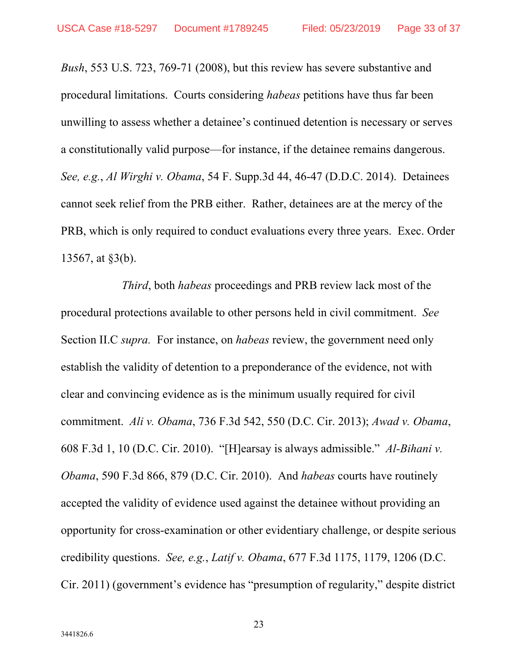*Bush*, 553 U.S. 723, 769-71 (2008), but this review has severe substantive and procedural limitations. Courts considering *habeas* petitions have thus far been unwilling to assess whether a detainee's continued detention is necessary or serves a constitutionally valid purpose—for instance, if the detainee remains dangerous. *See, e.g.*, *Al Wirghi v. Obama*, 54 F. Supp.3d 44, 46-47 (D.D.C. 2014). Detainees cannot seek relief from the PRB either. Rather, detainees are at the mercy of the PRB, which is only required to conduct evaluations every three years. Exec. Order 13567, at §3(b).

*Third*, both *habeas* proceedings and PRB review lack most of the procedural protections available to other persons held in civil commitment. *See*  Section II.C *supra.* For instance, on *habeas* review, the government need only establish the validity of detention to a preponderance of the evidence, not with clear and convincing evidence as is the minimum usually required for civil commitment. *Ali v. Obama*, 736 F.3d 542, 550 (D.C. Cir. 2013); *Awad v. Obama*, 608 F.3d 1, 10 (D.C. Cir. 2010). "[H]earsay is always admissible." *Al-Bihani v. Obama*, 590 F.3d 866, 879 (D.C. Cir. 2010). And *habeas* courts have routinely accepted the validity of evidence used against the detainee without providing an opportunity for cross-examination or other evidentiary challenge, or despite serious credibility questions. *See, e.g.*, *Latif v. Obama*, 677 F.3d 1175, 1179, 1206 (D.C. Cir. 2011) (government's evidence has "presumption of regularity," despite district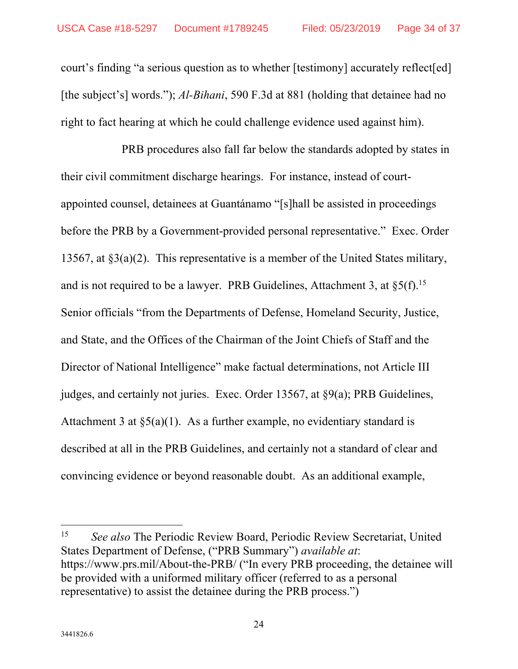court's finding "a serious question as to whether [testimony] accurately reflect[ed] [the subject's] words."); *Al-Bihani*, 590 F.3d at 881 (holding that detainee had no right to fact hearing at which he could challenge evidence used against him).

PRB procedures also fall far below the standards adopted by states in their civil commitment discharge hearings. For instance, instead of courtappointed counsel, detainees at Guantánamo "[s]hall be assisted in proceedings before the PRB by a Government-provided personal representative." Exec. Order 13567, at §3(a)(2). This representative is a member of the United States military, and is not required to be a lawyer. PRB Guidelines, Attachment 3, at  $\S5(f)$ .<sup>15</sup> Senior officials "from the Departments of Defense, Homeland Security, Justice, and State, and the Offices of the Chairman of the Joint Chiefs of Staff and the Director of National Intelligence" make factual determinations, not Article III judges, and certainly not juries. Exec. Order 13567, at §9(a); PRB Guidelines, Attachment 3 at  $\S5(a)(1)$ . As a further example, no evidentiary standard is described at all in the PRB Guidelines, and certainly not a standard of clear and convincing evidence or beyond reasonable doubt. As an additional example,

15 *See also* The Periodic Review Board, Periodic Review Secretariat, United States Department of Defense, ("PRB Summary") *available at*: https://www.prs.mil/About-the-PRB/ ("In every PRB proceeding, the detainee will be provided with a uniformed military officer (referred to as a personal representative) to assist the detainee during the PRB process.")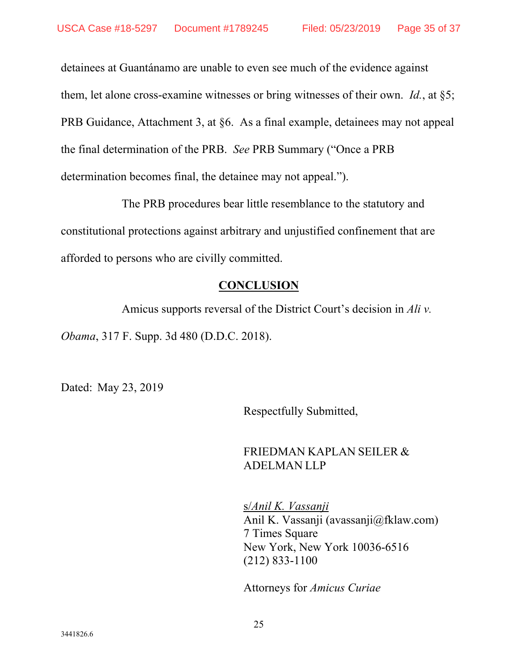detainees at Guantánamo are unable to even see much of the evidence against them, let alone cross-examine witnesses or bring witnesses of their own. *Id.*, at §5; PRB Guidance, Attachment 3, at §6.As a final example, detainees may not appeal the final determination of the PRB. *See* PRB Summary ("Once a PRB determination becomes final, the detainee may not appeal.").

The PRB procedures bear little resemblance to the statutory and constitutional protections against arbitrary and unjustified confinement that are afforded to persons who are civilly committed.

### **CONCLUSION**

Amicus supports reversal of the District Court's decision in *Ali v.* 

*Obama*, 317 F. Supp. 3d 480 (D.D.C. 2018).

Dated: May 23, 2019

Respectfully Submitted,

## FRIEDMAN KAPLAN SEILER & ADELMAN LLP

s/*Anil K. Vassanji* Anil K. Vassanji (avassanji@fklaw.com) 7 Times Square New York, New York 10036-6516 (212) 833-1100

Attorneys for *Amicus Curiae*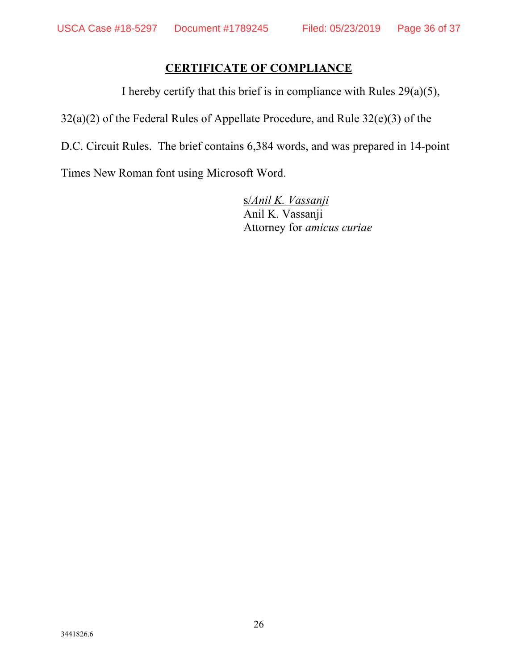## **CERTIFICATE OF COMPLIANCE**

I hereby certify that this brief is in compliance with Rules  $29(a)(5)$ ,

32(a)(2) of the Federal Rules of Appellate Procedure, and Rule 32(e)(3) of the

D.C. Circuit Rules. The brief contains 6,384 words, and was prepared in 14-point

Times New Roman font using Microsoft Word.

s/*Anil K. Vassanji* Anil K. Vassanji Attorney for *amicus curiae*